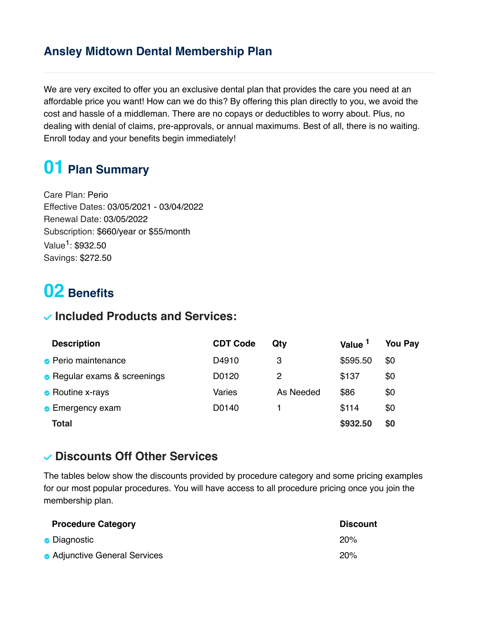### **Ansley Midtown Dental Membership Plan**

We are very excited to offer you an exclusive dental plan that provides the care you need at an affordable price you want! How can we do this? By offering this plan directly to you, we avoid the cost and hassle of a middleman. There are no copays or deductibles to worry about. Plus, no dealing with denial of claims, pre-approvals, or annual maximums. Best of all, there is no waiting. Enroll today and your benefits begin immediately!

# **01 Plan Summary**

Care Plan: Perio Effective Dates: 03/05/2021 - 03/04/2022 Renewal Date: 03/05/2022 Subscription: \$660/year or \$55/month Value<sup>1</sup>: \$932.50 Savings: \$272.50

## **02 Benefits**

#### **Included Products and Services:**

| <b>Description</b>           | <b>CDT Code</b> | Qty       | Value <sup>1</sup> | <b>You Pay</b> |
|------------------------------|-----------------|-----------|--------------------|----------------|
| • Perio maintenance          | D4910           | 3         | \$595.50           | \$0            |
| • Regular exams & screenings | D0120           | 2         | \$137              | \$0            |
| • Routine x-rays             | Varies          | As Needed | \$86               | \$0            |
| • Emergency exam             | D0140           |           | \$114              | \$0            |
| Total                        |                 |           | \$932.50           | \$0            |

#### **Discounts Off Other Services**

The tables below show the discounts provided by procedure category and some pricing examples for our most popular procedures. You will have access to all procedure pricing once you join the membership plan.

| <b>Procedure Category</b>   | <b>Discount</b> |
|-----------------------------|-----------------|
| • Diagnostic                | 20%             |
| Adjunctive General Services | 20%             |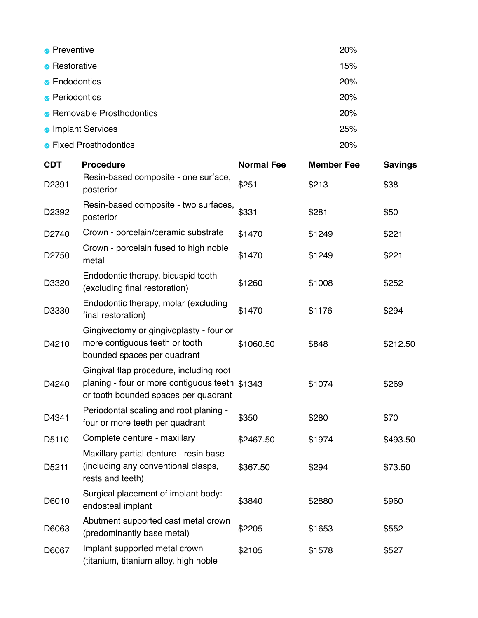| • Preventive               | 20% |
|----------------------------|-----|
| • Restorative              | 15% |
| • Endodontics              | 20% |
| • Periodontics             | 20% |
| • Removable Prosthodontics | 20% |
| Implant Services           | 25% |
| • Fixed Prosthodontics     | 20% |

| <b>CDT</b> | <b>Procedure</b>                                                                                                                  | <b>Normal Fee</b> | <b>Member Fee</b> | <b>Savings</b> |
|------------|-----------------------------------------------------------------------------------------------------------------------------------|-------------------|-------------------|----------------|
| D2391      | Resin-based composite - one surface,<br>posterior                                                                                 | \$251             | \$213             | \$38           |
| D2392      | Resin-based composite - two surfaces,<br>posterior                                                                                | \$331             | \$281             | \$50           |
| D2740      | Crown - porcelain/ceramic substrate                                                                                               | \$1470            | \$1249            | \$221          |
| D2750      | Crown - porcelain fused to high noble<br>metal                                                                                    | \$1470            | \$1249            | \$221          |
| D3320      | Endodontic therapy, bicuspid tooth<br>(excluding final restoration)                                                               | \$1260            | \$1008            | \$252          |
| D3330      | Endodontic therapy, molar (excluding<br>final restoration)                                                                        | \$1470            | \$1176            | \$294          |
| D4210      | Gingivectomy or gingivoplasty - four or<br>more contiguous teeth or tooth<br>bounded spaces per quadrant                          | \$1060.50         | \$848             | \$212.50       |
| D4240      | Gingival flap procedure, including root<br>planing - four or more contiguous teeth \$1343<br>or tooth bounded spaces per quadrant |                   | \$1074            | \$269          |
| D4341      | Periodontal scaling and root planing -<br>four or more teeth per quadrant                                                         | \$350             | \$280             | \$70           |
| D5110      | Complete denture - maxillary                                                                                                      | \$2467.50         | \$1974            | \$493.50       |
| D5211      | Maxillary partial denture - resin base<br>(including any conventional clasps,<br>rests and teeth)                                 | \$367.50          | \$294             | \$73.50        |
| D6010      | Surgical placement of implant body:<br>endosteal implant                                                                          | \$3840            | \$2880            | \$960          |
| D6063      | Abutment supported cast metal crown<br>(predominantly base metal)                                                                 | \$2205            | \$1653            | \$552          |
| D6067      | Implant supported metal crown<br>(titanium, titanium alloy, high noble                                                            | \$2105            | \$1578            | \$527          |
|            |                                                                                                                                   |                   |                   |                |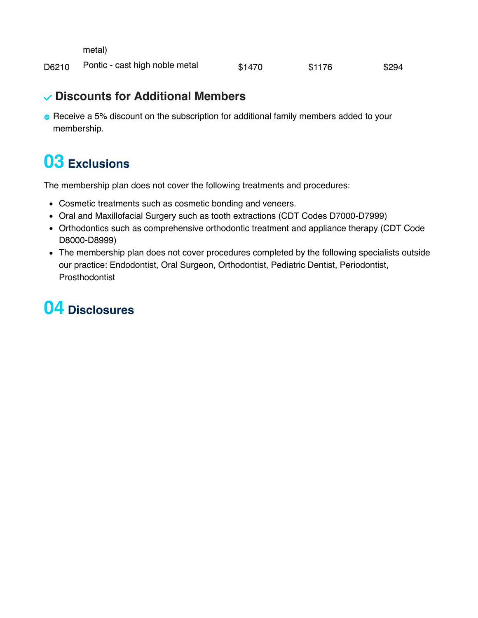metal)

D6210 Pontic - cast high noble metal \$1470 \$1176 \$294

#### **Discounts for Additional Members**

Receive a 5% discount on the subscription for additional family members added to your membership.

### **03 Exclusions**

The membership plan does not cover the following treatments and procedures:

- Cosmetic treatments such as cosmetic bonding and veneers.
- Oral and Maxillofacial Surgery such as tooth extractions (CDT Codes D7000-D7999)
- Orthodontics such as comprehensive orthodontic treatment and appliance therapy (CDT Code D8000-D8999)
- The membership plan does not cover procedures completed by the following specialists outside our practice: Endodontist, Oral Surgeon, Orthodontist, Pediatric Dentist, Periodontist, Prosthodontist

### **04 Disclosures**